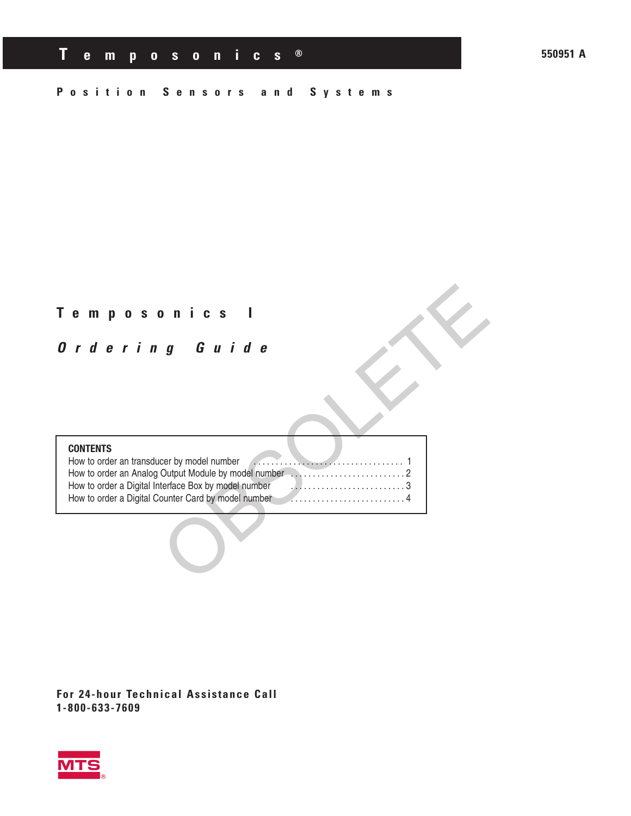**550951 A**

## **Position Sensors and Systems**

## **Temposonics I**

## **Ordering Guide**

#### **CONTENTS**

OBSOLETE How to order an transducer by model number . . . . . . . . . . . . . . . . . . . . . . . . . . . . . . . . . . 1 How to order an Analog Output Module by model number ..........................2 How to order a Digital Interface Box by model number ..........................3 How to order a Digital Counter Card by model number ..........................4

**For 24-hour Technical Assistance Call 1-800-633-7609**

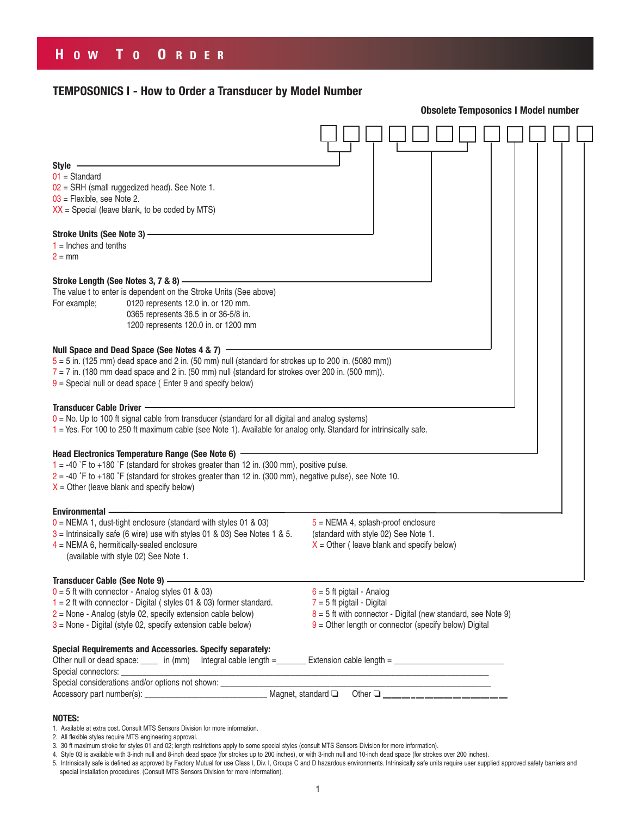## **TEMPOSONICS I - How to Order a Transducer by Model Number**

|                                                                                                                                                          | <b>Obsolete Temposonics I Model number</b>                     |  |  |  |  |  |
|----------------------------------------------------------------------------------------------------------------------------------------------------------|----------------------------------------------------------------|--|--|--|--|--|
|                                                                                                                                                          |                                                                |  |  |  |  |  |
| Style -                                                                                                                                                  |                                                                |  |  |  |  |  |
| $01 = Standard$                                                                                                                                          |                                                                |  |  |  |  |  |
| $02$ = SRH (small ruggedized head). See Note 1.                                                                                                          |                                                                |  |  |  |  |  |
| 03 = Flexible, see Note 2.                                                                                                                               |                                                                |  |  |  |  |  |
| $XX$ = Special (leave blank, to be coded by MTS)                                                                                                         |                                                                |  |  |  |  |  |
| Stroke Units (See Note 3) -                                                                                                                              |                                                                |  |  |  |  |  |
| $1 =$ Inches and tenths                                                                                                                                  |                                                                |  |  |  |  |  |
| $2 = mm$                                                                                                                                                 |                                                                |  |  |  |  |  |
|                                                                                                                                                          |                                                                |  |  |  |  |  |
| Stroke Length (See Notes 3, 7 & 8) -                                                                                                                     |                                                                |  |  |  |  |  |
| The value t to enter is dependent on the Stroke Units (See above)                                                                                        |                                                                |  |  |  |  |  |
| For example;<br>0120 represents 12.0 in. or 120 mm.                                                                                                      |                                                                |  |  |  |  |  |
| 0365 represents 36.5 in or 36-5/8 in.                                                                                                                    |                                                                |  |  |  |  |  |
| 1200 represents 120.0 in. or 1200 mm                                                                                                                     |                                                                |  |  |  |  |  |
|                                                                                                                                                          |                                                                |  |  |  |  |  |
| Null Space and Dead Space (See Notes 4 & 7) -                                                                                                            |                                                                |  |  |  |  |  |
| $5 = 5$ in. (125 mm) dead space and 2 in. (50 mm) null (standard for strokes up to 200 in. (5080 mm))                                                    |                                                                |  |  |  |  |  |
| $7 = 7$ in. (180 mm dead space and 2 in. (50 mm) null (standard for strokes over 200 in. (500 mm)).                                                      |                                                                |  |  |  |  |  |
| $9$ = Special null or dead space (Enter 9 and specify below)                                                                                             |                                                                |  |  |  |  |  |
|                                                                                                                                                          |                                                                |  |  |  |  |  |
| Transducer Cable Driver ·                                                                                                                                |                                                                |  |  |  |  |  |
| $0 =$ No. Up to 100 ft signal cable from transducer (standard for all digital and analog systems)                                                        |                                                                |  |  |  |  |  |
| 1 = Yes. For 100 to 250 ft maximum cable (see Note 1). Available for analog only. Standard for intrinsically safe.                                       |                                                                |  |  |  |  |  |
|                                                                                                                                                          |                                                                |  |  |  |  |  |
| Head Electronics Temperature Range (See Note 6) -<br>$1 = -40$ °F to $+180$ °F (standard for strokes greater than 12 in. (300 mm), positive pulse.       |                                                                |  |  |  |  |  |
|                                                                                                                                                          |                                                                |  |  |  |  |  |
| $2 = -40$ °F to +180 °F (standard for strokes greater than 12 in. (300 mm), negative pulse), see Note 10.<br>$X =$ Other (leave blank and specify below) |                                                                |  |  |  |  |  |
|                                                                                                                                                          |                                                                |  |  |  |  |  |
| <b>Environmental -</b>                                                                                                                                   |                                                                |  |  |  |  |  |
| $0 = \text{NEMA } 1$ , dust-tight enclosure (standard with styles 01 & 03)                                                                               | $5 = NEMA$ 4, splash-proof enclosure                           |  |  |  |  |  |
| $3$ = Intrinsically safe (6 wire) use with styles 01 & 03) See Notes 1 & 5.                                                                              | (standard with style 02) See Note 1.                           |  |  |  |  |  |
| $4$ = NEMA 6, hermitically-sealed enclosure                                                                                                              | $X =$ Other (leave blank and specify below)                    |  |  |  |  |  |
| (available with style 02) See Note 1.                                                                                                                    |                                                                |  |  |  |  |  |
|                                                                                                                                                          |                                                                |  |  |  |  |  |
| Transducer Cable (See Note 9) —                                                                                                                          |                                                                |  |  |  |  |  |
| $0 = 5$ ft with connector - Analog styles 01 & 03)                                                                                                       | $6 = 5$ ft pigtail - Analog                                    |  |  |  |  |  |
| $1 = 2$ ft with connector - Digital (styles 01 & 03) former standard.                                                                                    | $7 = 5$ ft pigtail - Digital                                   |  |  |  |  |  |
| $2$ = None - Analog (style 02, specify extension cable below)                                                                                            | $8 = 5$ ft with connector - Digital (new standard, see Note 9) |  |  |  |  |  |
| $3$ = None - Digital (style 02, specify extension cable below)                                                                                           | $9$ = Other length or connector (specify below) Digital        |  |  |  |  |  |
|                                                                                                                                                          |                                                                |  |  |  |  |  |
| <b>Special Requirements and Accessories. Specify separately:</b>                                                                                         |                                                                |  |  |  |  |  |
|                                                                                                                                                          |                                                                |  |  |  |  |  |
| Special connectors: _____________<br>Special considerations and/or options not shown: _______________________________                                    |                                                                |  |  |  |  |  |
|                                                                                                                                                          | Other $\Box$                                                   |  |  |  |  |  |
|                                                                                                                                                          |                                                                |  |  |  |  |  |
| <b>NOTES:</b>                                                                                                                                            |                                                                |  |  |  |  |  |

- 1. Available at extra cost. Consult MTS Sensors Division for more information.
- 2. All flexible styles require MTS engineering approval.
- 3. 30 ft maximum stroke for styles 01 and 02; length restrictions apply to some special styles (consult MTS Sensors Division for more information).
- 4. Style 03 is available with 3-inch null and 8-inch dead space (for strokes up to 200 inches), or with 3-inch null and 10-inch dead space (for strokes over 200 inches).
- 5. Intrinsically safe is defined as approved by Factory Mutual for use Class I, Div. I, Groups C and D hazardous environments. Intrinsically safe units require user supplied approved safety barriers and special installation procedures. (Consult MTS Sensors Division for more information).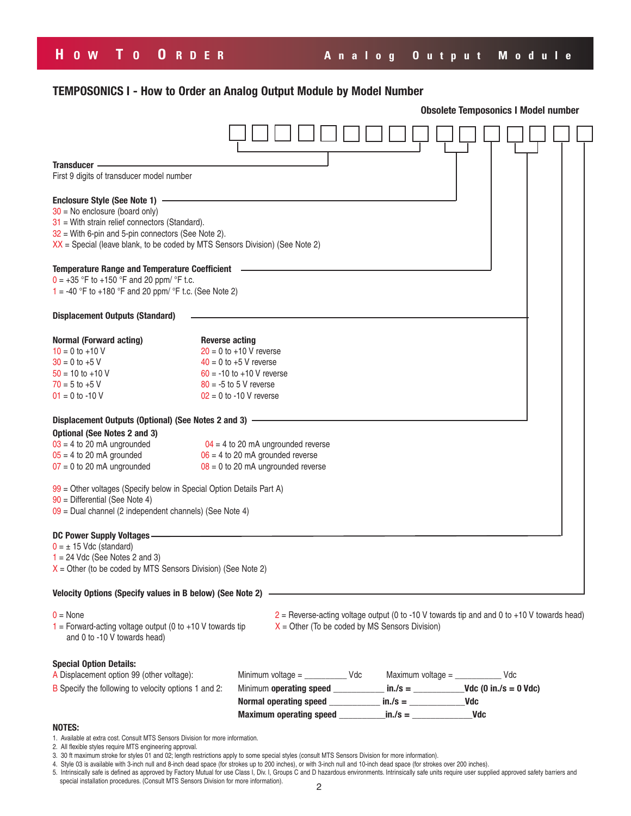# **H OW T O O RDER Analog Output Module**

## **TEMPOSONICS I - How to Order an Analog Output Module by Model Number**

|                                                                                                                                                                                                                                                                  | <b>Obsolete Temposonics I Model number</b>                                                                                                                                   |                                                                                                                                                                                              |  |                                                                                                                                                  |  |  |  |
|------------------------------------------------------------------------------------------------------------------------------------------------------------------------------------------------------------------------------------------------------------------|------------------------------------------------------------------------------------------------------------------------------------------------------------------------------|----------------------------------------------------------------------------------------------------------------------------------------------------------------------------------------------|--|--------------------------------------------------------------------------------------------------------------------------------------------------|--|--|--|
|                                                                                                                                                                                                                                                                  |                                                                                                                                                                              |                                                                                                                                                                                              |  |                                                                                                                                                  |  |  |  |
| Transducer -                                                                                                                                                                                                                                                     |                                                                                                                                                                              |                                                                                                                                                                                              |  |                                                                                                                                                  |  |  |  |
| First 9 digits of transducer model number                                                                                                                                                                                                                        |                                                                                                                                                                              |                                                                                                                                                                                              |  |                                                                                                                                                  |  |  |  |
| Enclosure Style (See Note 1) -<br>$30$ = No enclosure (board only)<br>$31$ = With strain relief connectors (Standard).<br>$32$ = With 6-pin and 5-pin connectors (See Note 2).<br>$XX$ = Special (leave blank, to be coded by MTS Sensors Division) (See Note 2) |                                                                                                                                                                              |                                                                                                                                                                                              |  |                                                                                                                                                  |  |  |  |
| <b>Temperature Range and Temperature Coefficient</b><br>$0 = +35$ °F to +150 °F and 20 ppm/ °F t.c.<br>1 = -40 °F to +180 °F and 20 ppm/ °F t.c. (See Note 2)                                                                                                    |                                                                                                                                                                              |                                                                                                                                                                                              |  |                                                                                                                                                  |  |  |  |
| <b>Displacement Outputs (Standard)</b>                                                                                                                                                                                                                           |                                                                                                                                                                              |                                                                                                                                                                                              |  |                                                                                                                                                  |  |  |  |
| <b>Normal (Forward acting)</b><br>$10 = 0$ to +10 V<br>$30 = 0$ to +5 V<br>$50 = 10$ to $+10$ V<br>$70 = 5$ to +5 V<br>$01 = 0$ to -10 V                                                                                                                         | <b>Reverse acting</b><br>$20 = 0$ to $+10$ V reverse<br>$40 = 0$ to $+5$ V reverse<br>$60 = -10$ to $+10$ V reverse<br>$80 = -5$ to 5 V reverse<br>$02 = 0$ to -10 V reverse |                                                                                                                                                                                              |  |                                                                                                                                                  |  |  |  |
| Displacement Outputs (Optional) (See Notes 2 and 3) -<br><b>Optional (See Notes 2 and 3)</b><br>$03 = 4$ to 20 mA ungrounded<br>$05 = 4$ to 20 mA grounded<br>$07 = 0$ to 20 mA ungrounded                                                                       |                                                                                                                                                                              | $04 = 4$ to 20 mA ungrounded reverse<br>$06 = 4$ to 20 mA grounded reverse<br>$08 = 0$ to 20 mA ungrounded reverse                                                                           |  |                                                                                                                                                  |  |  |  |
| 99 = Other voltages (Specify below in Special Option Details Part A)<br>$90$ = Differential (See Note 4)<br>$09$ = Dual channel (2 independent channels) (See Note 4)                                                                                            |                                                                                                                                                                              |                                                                                                                                                                                              |  |                                                                                                                                                  |  |  |  |
| <b>DC Power Supply Voltages-</b><br>$0 = \pm 15$ Vdc (standard)<br>$1 = 24$ Vdc (See Notes 2 and 3)<br>$X =$ Other (to be coded by MTS Sensors Division) (See Note 2)                                                                                            |                                                                                                                                                                              |                                                                                                                                                                                              |  |                                                                                                                                                  |  |  |  |
| Velocity Options (Specify values in B below) (See Note 2) -                                                                                                                                                                                                      |                                                                                                                                                                              |                                                                                                                                                                                              |  |                                                                                                                                                  |  |  |  |
| $0 = \text{None}$<br>$1$ = Forward-acting voltage output (0 to +10 V towards tip<br>and 0 to -10 V towards head)                                                                                                                                                 |                                                                                                                                                                              |                                                                                                                                                                                              |  | $2$ = Reverse-acting voltage output (0 to -10 V towards tip and and 0 to +10 V towards head)<br>$X =$ Other (To be coded by MS Sensors Division) |  |  |  |
| <b>Special Option Details:</b>                                                                                                                                                                                                                                   |                                                                                                                                                                              |                                                                                                                                                                                              |  |                                                                                                                                                  |  |  |  |
| A Displacement option 99 (other voltage):<br>B Specify the following to velocity options 1 and 2:                                                                                                                                                                |                                                                                                                                                                              | Minimum voltage = $\frac{1}{2}$ Vdc<br>Minimum operating speed $\frac{1}{2}$ in./s = $\frac{1}{2}$ = Vdc (0 in./s = 0 Vdc)<br>Normal operating speed $\frac{1}{1}$ in./s = $\frac{1}{1}$ Vdc |  | Maximum voltage = $\frac{1}{2}$                                                                                                                  |  |  |  |
| <b>NOTES:</b>                                                                                                                                                                                                                                                    |                                                                                                                                                                              |                                                                                                                                                                                              |  |                                                                                                                                                  |  |  |  |

- 1. Available at extra cost. Consult MTS Sensors Division for more information.
- 2. All flexible styles require MTS engineering approval.

- 4. Style 03 is available with 3-inch null and 8-inch dead space (for strokes up to 200 inches), or with 3-inch null and 10-inch dead space (for strokes over 200 inches).
- 5. Intrinsically safe is defined as approved by Factory Mutual for use Class I, Div. I, Groups C and D hazardous environments. Intrinsically safe units require user supplied approved safety barriers and
- special installation procedures. (Consult MTS Sensors Division for more information).

<sup>3. 30</sup> ft maximum stroke for styles 01 and 02; length restrictions apply to some special styles (consult MTS Sensors Division for more information).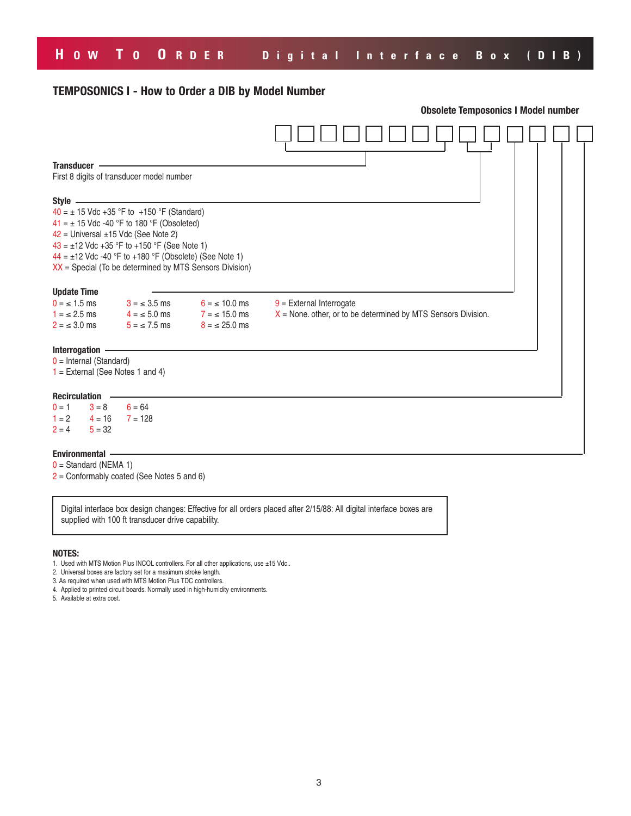# **H OW T O O RDER Digital Interface Box (DIB)**

## **TEMPOSONICS I - How to Order a DIB by Model Number**

|                                                                                                      |                                                                                                                                                                 |                                                           | <b>Obsolete Temposonics I Model number</b>                                                    |  |  |  |  |
|------------------------------------------------------------------------------------------------------|-----------------------------------------------------------------------------------------------------------------------------------------------------------------|-----------------------------------------------------------|-----------------------------------------------------------------------------------------------|--|--|--|--|
|                                                                                                      |                                                                                                                                                                 |                                                           |                                                                                               |  |  |  |  |
| <b>Transducer</b>                                                                                    | First 8 digits of transducer model number                                                                                                                       |                                                           |                                                                                               |  |  |  |  |
| Style -<br>$42$ = Universal ±15 Vdc (See Note 2)<br>$43 = \pm 12$ Vdc +35 °F to +150 °F (See Note 1) | $40 = \pm 15$ Vdc +35 °F to +150 °F (Standard)<br>$41 = \pm 15$ Vdc -40 °F to 180 °F (Obsoleted)<br>$44 = \pm 12$ Vdc -40 °F to +180 °F (Obsolete) (See Note 1) | $XX$ = Special (To be determined by MTS Sensors Division) |                                                                                               |  |  |  |  |
| <b>Update Time</b><br>$0 = \leq 1.5$ ms<br>$1 = \le 2.5$ ms<br>$2 = 3.0$ ms                          | $3 = 3.5$ ms<br>$4 = 5.0$ ms<br>$5 = 7.5$ ms                                                                                                                    | $6 = 10.0$ ms<br>$7 = 15.0$ ms<br>$8 = \le 25.0$ ms       | $9$ = External Interrogate<br>$X$ = None. other, or to be determined by MTS Sensors Division. |  |  |  |  |
| Interrogation<br>$0 =$ Internal (Standard)<br>$1 =$ External (See Notes 1 and 4)                     |                                                                                                                                                                 |                                                           |                                                                                               |  |  |  |  |
| <b>Recirculation</b><br>$3 = 8$<br>$0 = 1$<br>$1 = 2$ 4 = 16<br>$5 = 32$<br>$2 = 4$                  | $6 = 64$<br>$7 = 128$                                                                                                                                           |                                                           |                                                                                               |  |  |  |  |
| <b>Environmental</b>                                                                                 |                                                                                                                                                                 |                                                           |                                                                                               |  |  |  |  |

- $0 =$  Standard (NEMA 1)
- 2 = Conformably coated (See Notes 5 and 6)

Digital interface box design changes: Effective for all orders placed after 2/15/88: All digital interface boxes are supplied with 100 ft transducer drive capability.

#### **NOTES:**

- 1. Used with MTS Motion Plus INCOL controllers. For all other applications, use ±15 Vdc..
- 2. Universal boxes are factory set for a maximum stroke length.
- 3. As required when used with MTS Motion Plus TDC controllers.
- 4. Applied to printed circuit boards. Normally used in high-humidity environments.
- 5. Available at extra cost.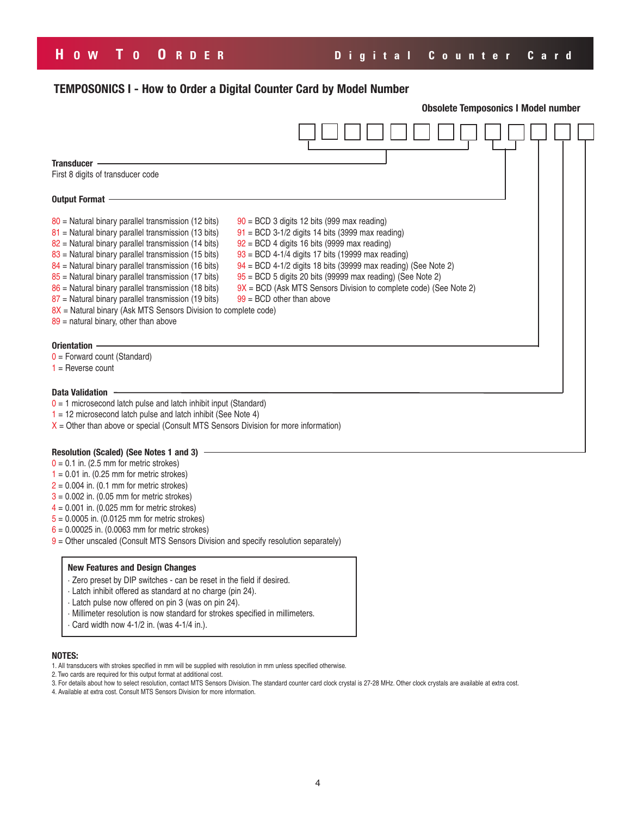# **H OW T O O RDER Digital Counter Card**

## **TEMPOSONICS I - How to Order a Digital Counter Card by Model Number**

|                                                                                                                                                                                                                                                                                                                                                                                                                                                                                                                                                                                    |                                                                                                                                                                                                                                                                                                                                                                                                                                                      | <b>Obsolete Temposonics I Model number</b> |  |  |  |  |  |  |
|------------------------------------------------------------------------------------------------------------------------------------------------------------------------------------------------------------------------------------------------------------------------------------------------------------------------------------------------------------------------------------------------------------------------------------------------------------------------------------------------------------------------------------------------------------------------------------|------------------------------------------------------------------------------------------------------------------------------------------------------------------------------------------------------------------------------------------------------------------------------------------------------------------------------------------------------------------------------------------------------------------------------------------------------|--------------------------------------------|--|--|--|--|--|--|
|                                                                                                                                                                                                                                                                                                                                                                                                                                                                                                                                                                                    |                                                                                                                                                                                                                                                                                                                                                                                                                                                      |                                            |  |  |  |  |  |  |
| <b>Transducer</b>                                                                                                                                                                                                                                                                                                                                                                                                                                                                                                                                                                  |                                                                                                                                                                                                                                                                                                                                                                                                                                                      |                                            |  |  |  |  |  |  |
| First 8 digits of transducer code                                                                                                                                                                                                                                                                                                                                                                                                                                                                                                                                                  |                                                                                                                                                                                                                                                                                                                                                                                                                                                      |                                            |  |  |  |  |  |  |
| Output Format .                                                                                                                                                                                                                                                                                                                                                                                                                                                                                                                                                                    |                                                                                                                                                                                                                                                                                                                                                                                                                                                      |                                            |  |  |  |  |  |  |
| $80$ = Natural binary parallel transmission (12 bits)<br>$81$ = Natural binary parallel transmission (13 bits)<br>$82$ = Natural binary parallel transmission (14 bits)<br>$83$ = Natural binary parallel transmission (15 bits)<br>$84$ = Natural binary parallel transmission (16 bits)<br>$85$ = Natural binary parallel transmission (17 bits)<br>$86$ = Natural binary parallel transmission (18 bits)<br>$87$ = Natural binary parallel transmission (19 bits)<br>8X = Natural binary (Ask MTS Sensors Division to complete code)<br>$89$ = natural binary, other than above | $90 = BCD$ 3 digits 12 bits (999 max reading)<br>$91 = BCD$ 3-1/2 digits 14 bits (3999 max reading)<br>$92 = BCD$ 4 digits 16 bits (9999 max reading)<br>$93 = BCD$ 4-1/4 digits 17 bits (19999 max reading)<br>94 = BCD 4-1/2 digits 18 bits (39999 max reading) (See Note 2)<br>$95 = BCD$ 5 digits 20 bits (99999 max reading) (See Note 2)<br>$9X = BCD$ (Ask MTS Sensors Division to complete code) (See Note 2)<br>$99 = BCD$ other than above |                                            |  |  |  |  |  |  |
| Orientation ·<br>$0 =$ Forward count (Standard)<br>$1 =$ Reverse count<br><b>Data Validation</b>                                                                                                                                                                                                                                                                                                                                                                                                                                                                                   |                                                                                                                                                                                                                                                                                                                                                                                                                                                      |                                            |  |  |  |  |  |  |
| $0 = 1$ microsecond latch pulse and latch inhibit input (Standard)                                                                                                                                                                                                                                                                                                                                                                                                                                                                                                                 |                                                                                                                                                                                                                                                                                                                                                                                                                                                      |                                            |  |  |  |  |  |  |
| $1 = 12$ microsecond latch pulse and latch inhibit (See Note 4)<br>$X =$ Other than above or special (Consult MTS Sensors Division for more information)                                                                                                                                                                                                                                                                                                                                                                                                                           |                                                                                                                                                                                                                                                                                                                                                                                                                                                      |                                            |  |  |  |  |  |  |
|                                                                                                                                                                                                                                                                                                                                                                                                                                                                                                                                                                                    |                                                                                                                                                                                                                                                                                                                                                                                                                                                      |                                            |  |  |  |  |  |  |
| Resolution (Scaled) (See Notes 1 and 3)<br>$0 = 0.1$ in. (2.5 mm for metric strokes)<br>$1 = 0.01$ in. (0.25 mm for metric strokes)<br>$2 = 0.004$ in. (0.1 mm for metric strokes)<br>$3 = 0.002$ in. (0.05 mm for metric strokes)<br>$4 = 0.001$ in. (0.025 mm for metric strokes)<br>$5 = 0.0005$ in. (0.0125 mm for metric strokes)<br>$6 = 0.00025$ in. (0.0063 mm for metric strokes)<br>$9$ = Other unscaled (Consult MTS Sensors Division and specify resolution separately)                                                                                                |                                                                                                                                                                                                                                                                                                                                                                                                                                                      |                                            |  |  |  |  |  |  |
| <b>New Features and Design Changes</b><br>. Zero preset by DIP switches - can be reset in the field if desired.<br>· Latch inhibit offered as standard at no charge (pin 24).<br>· Latch pulse now offered on pin 3 (was on pin 24).<br>· Millimeter resolution is now standard for strokes specified in millimeters.<br>Card width now 4-1/2 in. (was 4-1/4 in.).                                                                                                                                                                                                                 |                                                                                                                                                                                                                                                                                                                                                                                                                                                      |                                            |  |  |  |  |  |  |
| <b>NOTES:</b><br>1. All transducers with strokes specified in mm will be supplied with resolution in mm unless specified otherwise.<br>2. Two cards are required for this output format at additional cost.                                                                                                                                                                                                                                                                                                                                                                        |                                                                                                                                                                                                                                                                                                                                                                                                                                                      |                                            |  |  |  |  |  |  |

3. For details about how to select resolution, contact MTS Sensors Division. The standard counter card clock crystal is 27-28 MHz. Other clock crystals are available at extra cost.

4. Available at extra cost. Consult MTS Sensors Division for more information.